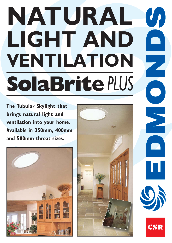## **NATURAL**  $\mathcal{U}_I$ **LIGHT AND**  $\begin{array}{c} \hline \end{array}$ **VENTILATION SolaBrite***PLUS*

**The Tubular Skylight that brings natural light and ventilation into your home. Available in 350mm, 400mm and 500mm throat sizes.**